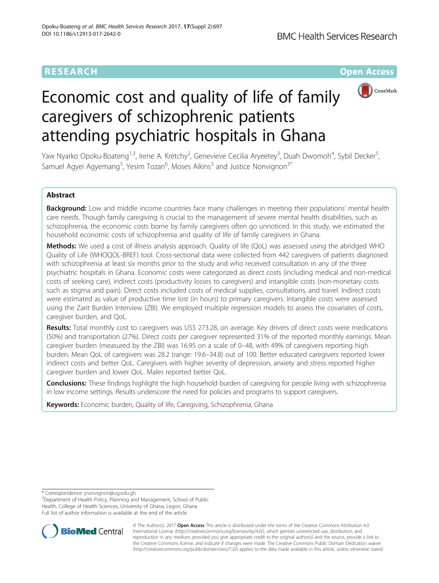# **RESEARCH CHEAR CHEAR CHEAR CHEAR CHEAR CHEAR CHEAR CHEAR CHEAR CHEAR CHEAR CHEAR CHEAR CHEAR CHEAR CHEAR CHEAR**



# Economic cost and quality of life of family caregivers of schizophrenic patients attending psychiatric hospitals in Ghana

Yaw Nyarko Opoku-Boateng<sup>1,3</sup>, Irene A. Kretchy<sup>2</sup>, Genevieve Cecilia Aryeetey<sup>3</sup>, Duah Dwomoh<sup>4</sup>, Sybil Decker<sup>5</sup> , Samuel Agyei Agyemang<sup>3</sup>, Yesim Tozan<sup>6</sup>, Moses Aikins<sup>3</sup> and Justice Nonvignon<sup>3\*</sup>

# Abstract

Background: Low and middle income countries face many challenges in meeting their populations' mental health care needs. Though family caregiving is crucial to the management of severe mental health disabilities, such as schizophrenia, the economic costs borne by family caregivers often go unnoticed. In this study, we estimated the household economic costs of schizophrenia and quality of life of family caregivers in Ghana.

Methods: We used a cost of illness analysis approach. Quality of life (QoL) was assessed using the abridged WHO Quality of Life (WHOQOL-BREF) tool. Cross-sectional data were collected from 442 caregivers of patients diagnosed with schizophrenia at least six months prior to the study and who received consultation in any of the three psychiatric hospitals in Ghana. Economic costs were categorized as direct costs (including medical and non-medical costs of seeking care), indirect costs (productivity losses to caregivers) and intangible costs (non-monetary costs such as stigma and pain). Direct costs included costs of medical supplies, consultations, and travel. Indirect costs were estimated as value of productive time lost (in hours) to primary caregivers. Intangible costs were assessed using the Zarit Burden Interview (ZBI). We employed multiple regression models to assess the covariates of costs, caregiver burden, and QoL.

**Results:** Total monthly cost to caregivers was US\$ 273.28, on average. Key drivers of direct costs were medications (50%) and transportation (27%). Direct costs per caregiver represented 31% of the reported monthly earnings. Mean caregiver burden (measured by the ZBI) was 16.95 on a scale of 0–48, with 49% of caregivers reporting high burden. Mean QoL of caregivers was 28.2 (range: 19.6–34.8) out of 100. Better educated caregivers reported lower indirect costs and better QoL. Caregivers with higher severity of depression, anxiety and stress reported higher caregiver burden and lower QoL. Males reported better QoL.

**Conclusions:** These findings highlight the high household burden of caregiving for people living with schizophrenia in low income settings. Results underscore the need for policies and programs to support caregivers.

Keywords: Economic burden, Quality of life, Caregiving, Schizophrenia, Ghana

\* Correspondence: [jnonvignon@ug.edu.gh](mailto:jnonvignon@ug.edu.gh) <sup>3</sup>

<sup>3</sup>Department of Health Policy, Planning and Management, School of Public Health, College of Health Sciences, University of Ghana, Legon, Ghana Full list of author information is available at the end of the article



© The Author(s). 2017 **Open Access** This article is distributed under the terms of the Creative Commons Attribution 4.0 International License [\(http://creativecommons.org/licenses/by/4.0/](http://creativecommons.org/licenses/by/4.0/)), which permits unrestricted use, distribution, and reproduction in any medium, provided you give appropriate credit to the original author(s) and the source, provide a link to the Creative Commons license, and indicate if changes were made. The Creative Commons Public Domain Dedication waiver [\(http://creativecommons.org/publicdomain/zero/1.0/](http://creativecommons.org/publicdomain/zero/1.0/)) applies to the data made available in this article, unless otherwise stated.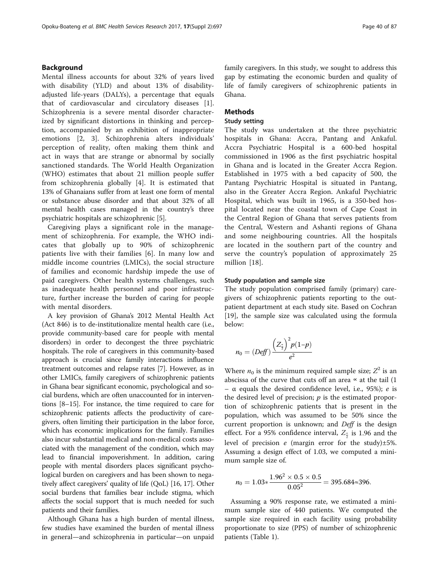# Background

Mental illness accounts for about 32% of years lived with disability (YLD) and about 13% of disabilityadjusted life-years (DALYs), a percentage that equals that of cardiovascular and circulatory diseases [\[1](#page-11-0)]. Schizophrenia is a severe mental disorder characterized by significant distortions in thinking and perception, accompanied by an exhibition of inappropriate emotions [[2, 3](#page-11-0)]. Schizophrenia alters individuals' perception of reality, often making them think and act in ways that are strange or abnormal by socially sanctioned standards. The World Health Organization (WHO) estimates that about 21 million people suffer from schizophrenia globally [\[4](#page-11-0)]. It is estimated that 13% of Ghanaians suffer from at least one form of mental or substance abuse disorder and that about 32% of all mental health cases managed in the country's three psychiatric hospitals are schizophrenic [[5\]](#page-11-0).

Caregiving plays a significant role in the management of schizophrenia. For example, the WHO indicates that globally up to 90% of schizophrenic patients live with their families [[6](#page-11-0)]. In many low and middle income countries (LMICs), the social structure of families and economic hardship impede the use of paid caregivers. Other health systems challenges, such as inadequate health personnel and poor infrastructure, further increase the burden of caring for people with mental disorders.

A key provision of Ghana's 2012 Mental Health Act (Act 846) is to de-institutionalize mental health care (i.e., provide community-based care for people with mental disorders) in order to decongest the three psychiatric hospitals. The role of caregivers in this community-based approach is crucial since family interactions influence treatment outcomes and relapse rates [[7\]](#page-11-0). However, as in other LMICs, family caregivers of schizophrenic patients in Ghana bear significant economic, psychological and social burdens, which are often unaccounted for in interventions [\[8](#page-11-0)–[15\]](#page-11-0). For instance, the time required to care for schizophrenic patients affects the productivity of caregivers, often limiting their participation in the labor force, which has economic implications for the family. Families also incur substantial medical and non-medical costs associated with the management of the condition, which may lead to financial impoverishment. In addition, caring people with mental disorders places significant psychological burden on caregivers and has been shown to negatively affect caregivers' quality of life (QoL) [[16](#page-11-0), [17\]](#page-11-0). Other social burdens that families bear include stigma, which affects the social support that is much needed for such patients and their families.

Although Ghana has a high burden of mental illness, few studies have examined the burden of mental illness in general—and schizophrenia in particular—on unpaid family caregivers. In this study, we sought to address this gap by estimating the economic burden and quality of life of family caregivers of schizophrenic patients in Ghana.

# Methods

# Study setting

The study was undertaken at the three psychiatric hospitals in Ghana: Accra, Pantang and Ankaful. Accra Psychiatric Hospital is a 600-bed hospital commissioned in 1906 as the first psychiatric hospital in Ghana and is located in the Greater Accra Region. Established in 1975 with a bed capacity of 500, the Pantang Psychiatric Hospital is situated in Pantang, also in the Greater Accra Region. Ankaful Psychiatric Hospital, which was built in 1965, is a 350-bed hospital located near the coastal town of Cape Coast in the Central Region of Ghana that serves patients from the Central, Western and Ashanti regions of Ghana and some neighbouring countries. All the hospitals are located in the southern part of the country and serve the country's population of approximately 25 million [\[18](#page-11-0)].

#### Study population and sample size

The study population comprised family (primary) caregivers of schizophrenic patients reporting to the outpatient department at each study site. Based on Cochran [[19\]](#page-11-0), the sample size was calculated using the formula below:

$$
n_0 = (Def) \frac{\left(Z_{\frac{\kappa}{2}}\right)^2 p(1-p)}{e^2}
$$

Where  $n_0$  is the minimum required sample size;  $Z^2$  is an abscissa of the curve that cuts off an area  $\alpha$  at the tail (1 – α equals the desired confidence level, i.e., 95%); e is the desired level of precision;  $p$  is the estimated proportion of schizophrenic patients that is present in the population, which was assumed to be 50% since the current proportion is unknown; and Deff is the design effect. For a 95% confidence interval,  $Z_{\frac{\alpha}{2}}$  is 1.96 and the level of precision  $e$  (margin error for the study) $\pm 5\%$ . Assuming a design effect of 1.03, we computed a minimum sample size of.

$$
n_0 = 1.03 * \frac{1.96^2 \times 0.5 \times 0.5}{0.05^2} = 395.684 \approx 396.
$$

Assuming a 90% response rate, we estimated a minimum sample size of 440 patients. We computed the sample size required in each facility using probability proportionate to size (PPS) of number of schizophrenic patients (Table [1](#page-2-0)).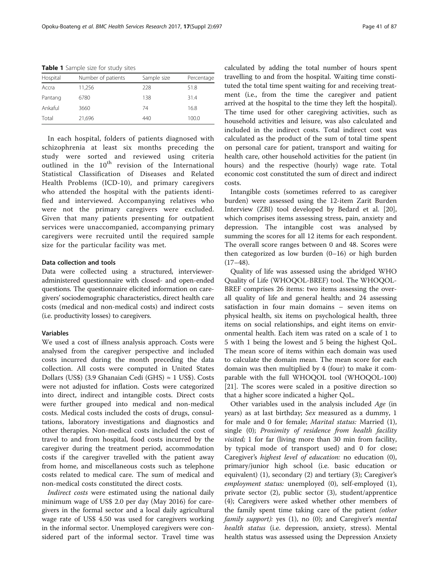| Hospital | Number of patients | Sample size | Percentage |
|----------|--------------------|-------------|------------|
| Accra    | 11,256             | 228         | 51.8       |
| Pantang  | 6780               | 138         | 31.4       |
| Ankaful  | 3660               | 74          | 16.8       |
| Total    | 21,696             | 440         | 100.0      |

<span id="page-2-0"></span>Table 1 Sample size for study sites

In each hospital, folders of patients diagnosed with schizophrenia at least six months preceding the study were sorted and reviewed using criteria outlined in the  $10^{th}$  revision of the International Statistical Classification of Diseases and Related Health Problems (ICD-10), and primary caregivers who attended the hospital with the patients identified and interviewed. Accompanying relatives who were not the primary caregivers were excluded. Given that many patients presenting for outpatient services were unaccompanied, accompanying primary caregivers were recruited until the required sample size for the particular facility was met.

# Data collection and tools

Data were collected using a structured, intervieweradministered questionnaire with closed- and open-ended questions. The questionnaire elicited information on caregivers' sociodemographic characteristics, direct health care costs (medical and non-medical costs) and indirect costs (i.e. productivity losses) to caregivers.

# Variables

We used a cost of illness analysis approach. Costs were analysed from the caregiver perspective and included costs incurred during the month preceding the data collection. All costs were computed in United States Dollars (US\$) (3.9 Ghanaian Cedi (GHS) ≈ 1 US\$). Costs were not adjusted for inflation. Costs were categorized into direct, indirect and intangible costs. Direct costs were further grouped into medical and non-medical costs. Medical costs included the costs of drugs, consultations, laboratory investigations and diagnostics and other therapies. Non-medical costs included the cost of travel to and from hospital, food costs incurred by the caregiver during the treatment period, accommodation costs if the caregiver travelled with the patient away from home, and miscellaneous costs such as telephone costs related to medical care. The sum of medical and non-medical costs constituted the direct costs.

Indirect costs were estimated using the national daily minimum wage of US\$ 2.0 per day (May 2016) for caregivers in the formal sector and a local daily agricultural wage rate of US\$ 4.50 was used for caregivers working in the informal sector. Unemployed caregivers were considered part of the informal sector. Travel time was calculated by adding the total number of hours spent travelling to and from the hospital. Waiting time constituted the total time spent waiting for and receiving treatment (i.e., from the time the caregiver and patient arrived at the hospital to the time they left the hospital). The time used for other caregiving activities, such as household activities and leisure, was also calculated and included in the indirect costs. Total indirect cost was calculated as the product of the sum of total time spent on personal care for patient, transport and waiting for health care, other household activities for the patient (in hours) and the respective (hourly) wage rate. Total economic cost constituted the sum of direct and indirect costs.

Intangible costs (sometimes referred to as caregiver burden) were assessed using the 12-item Zarit Burden Interview (ZBI) tool developed by Bedard et al. [\[20](#page-11-0)], which comprises items assessing stress, pain, anxiety and depression. The intangible cost was analysed by summing the scores for all 12 items for each respondent. The overall score ranges between 0 and 48. Scores were then categorized as low burden (0–16) or high burden  $(17-48).$ 

Quality of life was assessed using the abridged WHO Quality of Life (WHOQOL-BREF) tool. The WHOQOL-BREF comprises 26 items: two items assessing the overall quality of life and general health; and 24 assessing satisfaction in four main domains – seven items on physical health, six items on psychological health, three items on social relationships, and eight items on environmental health. Each item was rated on a scale of 1 to 5 with 1 being the lowest and 5 being the highest QoL. The mean score of items within each domain was used to calculate the domain mean. The mean score for each domain was then multiplied by 4 (four) to make it comparable with the full WHOQOL tool (WHOQOL-100) [[21\]](#page-11-0). The scores were scaled in a positive direction so that a higher score indicated a higher QoL.

Other variables used in the analysis included Age (in years) as at last birthday; Sex measured as a dummy, 1 for male and 0 for female; Marital status: Married (1), single (0); Proximity of residence from health facility visited; 1 for far (living more than 30 min from facility, by typical mode of transport used) and 0 for close; Caregiver's highest level of education: no education (0), primary/junior high school (i.e. basic education or equivalent) (1), secondary (2) and tertiary (3); Caregiver's employment status: unemployed (0), self-employed (1), private sector (2), public sector (3), student/apprentice (4); Caregivers were asked whether other members of the family spent time taking care of the patient (other family support): yes (1), no (0); and Caregiver's mental health status (i.e. depression, anxiety, stress). Mental health status was assessed using the Depression Anxiety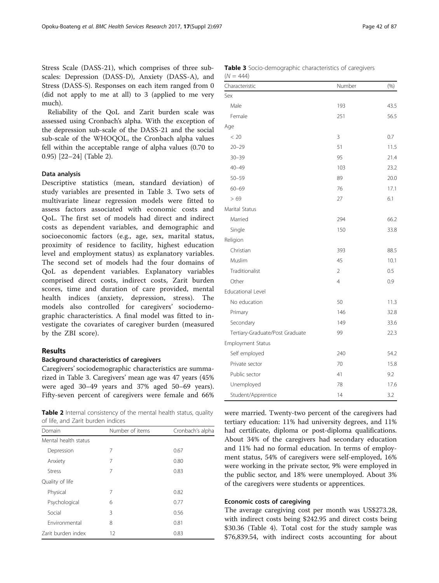Stress Scale (DASS-21), which comprises of three subscales: Depression (DASS-D), Anxiety (DASS-A), and Stress (DASS-S). Responses on each item ranged from 0 (did not apply to me at all) to 3 (applied to me very much).

Reliability of the QoL and Zarit burden scale was assessed using Cronbach's alpha. With the exception of the depression sub-scale of the DASS-21 and the social sub-scale of the WHOQOL, the Cronbach alpha values fell within the acceptable range of alpha values (0.70 to 0.95) [[22](#page-11-0)–[24](#page-11-0)] (Table 2).

## Data analysis

Descriptive statistics (mean, standard deviation) of study variables are presented in Table 3. Two sets of multivariate linear regression models were fitted to assess factors associated with economic costs and QoL. The first set of models had direct and indirect costs as dependent variables, and demographic and socioeconomic factors (e.g., age, sex, marital status, proximity of residence to facility, highest education level and employment status) as explanatory variables. The second set of models had the four domains of QoL as dependent variables. Explanatory variables comprised direct costs, indirect costs, Zarit burden scores, time and duration of care provided, mental health indices (anxiety, depression, stress). The models also controlled for caregivers' sociodemographic characteristics. A final model was fitted to investigate the covariates of caregiver burden (measured by the ZBI score).

# Results

#### Background characteristics of caregivers

Caregivers' sociodemographic characteristics are summarized in Table 3. Caregivers' mean age was 47 years (45% were aged 30–49 years and 37% aged 50–69 years). Fifty-seven percent of caregivers were female and 66%

Table 2 Internal consistency of the mental health status, quality of life, and Zarit burden indices

| Domain               | Number of items | Cronbach's alpha |
|----------------------|-----------------|------------------|
| Mental health status |                 |                  |
| Depression           | 7               | 0.67             |
| Anxiety              | 7               | 0.80             |
| Stress               | 7               | 0.83             |
| Quality of life      |                 |                  |
| Physical             | 7               | 0.82             |
| Psychological        | 6               | 0.77             |
| Social               | 3               | 0.56             |
| Fnvironmental        | 8               | 0.81             |
| Zarit burden index   | 12              | 0.83             |
|                      |                 |                  |

| <b>Table 3</b> Socio-demographic characteristics of caregivers<br>$(N = 444)$ |        |         |
|-------------------------------------------------------------------------------|--------|---------|
| Characteristic                                                                | Number | $(\% )$ |
| Sov.                                                                          |        |         |

| Sex                             |                |      |
|---------------------------------|----------------|------|
| Male                            | 193            | 43.5 |
| Female                          | 251            | 56.5 |
| Age                             |                |      |
| < 20                            | 3              | 0.7  |
| $20 - 29$                       | 51             | 11.5 |
| $30 - 39$                       | 95             | 21.4 |
| $40 - 49$                       | 103            | 23.2 |
| $50 - 59$                       | 89             | 20.0 |
| $60 - 69$                       | 76             | 17.1 |
| >69                             | 27             | 6.1  |
| Marital Status                  |                |      |
| Married                         | 294            | 66.2 |
| Single                          | 150            | 33.8 |
| Religion                        |                |      |
| Christian                       | 393            | 88.5 |
| Muslim                          | 45             | 10.1 |
| Traditionalist                  | $\overline{2}$ | 0.5  |
| Other                           | $\overline{4}$ | 0.9  |
| <b>Educational Level</b>        |                |      |
| No education                    | 50             | 11.3 |
| Primary                         | 146            | 32.8 |
| Secondary                       | 149            | 33.6 |
| Tertiary-Graduate/Post Graduate | 99             | 22.3 |
| <b>Employment Status</b>        |                |      |
| Self employed                   | 240            | 54.2 |
| Private sector                  | 70             | 15.8 |
| Public sector                   | 41             | 9.2  |
| Unemployed                      | 78             | 17.6 |
| Student/Apprentice              | 14             | 3.2  |

were married. Twenty-two percent of the caregivers had tertiary education: 11% had university degrees, and 11% had certificate, diploma or post-diploma qualifications. About 34% of the caregivers had secondary education and 11% had no formal education. In terms of employment status, 54% of caregivers were self-employed, 16% were working in the private sector, 9% were employed in the public sector, and 18% were unemployed. About 3% of the caregivers were students or apprentices.

# Economic costs of caregiving

The average caregiving cost per month was US\$273.28, with indirect costs being \$242.95 and direct costs being \$30.36 (Table [4](#page-4-0)). Total cost for the study sample was \$76,839.54, with indirect costs accounting for about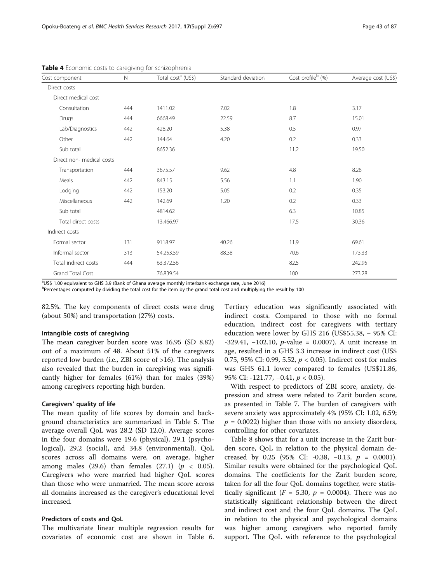| Cost component            | $\mathbb N$ | Total cost <sup>a</sup> (US\$) | Standard deviation | Cost profile <sup>b</sup> (%) | Average cost (US\$) |
|---------------------------|-------------|--------------------------------|--------------------|-------------------------------|---------------------|
| Direct costs              |             |                                |                    |                               |                     |
| Direct medical cost       |             |                                |                    |                               |                     |
| Consultation              | 444         | 1411.02                        | 7.02               | 1.8                           | 3.17                |
| Drugs                     | 444         | 6668.49                        | 22.59              | 8.7                           | 15.01               |
| Lab/Diagnostics           | 442         | 428.20                         | 5.38               | 0.5                           | 0.97                |
| Other                     | 442         | 144.64                         | 4.20               | 0.2                           | 0.33                |
| Sub total                 |             | 8652.36                        |                    | 11.2                          | 19.50               |
| Direct non- medical costs |             |                                |                    |                               |                     |
| Transportation            | 444         | 3675.57                        | 9.62               | 4.8                           | 8.28                |
| Meals                     | 442         | 843.15                         | 5.56               | 1.1                           | 1.90                |
| Lodging                   | 442         | 153.20                         | 5.05               | 0.2                           | 0.35                |
| Miscellaneous             | 442         | 142.69                         | 1.20               | 0.2                           | 0.33                |
| Sub total                 |             | 4814.62                        |                    | 6.3                           | 10.85               |
| Total direct costs        |             | 13,466.97                      |                    | 17.5                          | 30.36               |
| Indirect costs            |             |                                |                    |                               |                     |
| Formal sector             | 131         | 9118.97                        | 40.26              | 11.9                          | 69.61               |
| Informal sector           | 313         | 54,253.59                      | 88.38              | 70.6                          | 173.33              |
| Total indirect costs      | 444         | 63,372.56                      |                    | 82.5                          | 242.95              |
| <b>Grand Total Cost</b>   |             | 76,839.54                      |                    | 100                           | 273.28              |

<span id="page-4-0"></span>Table 4 Economic costs to caregiving for schizophrenia

<sup>a</sup>US\$ 1.00 equivalent to GHS 3.9 (Bank of Ghana average monthly interbank exchange rate, June 2016)

<sup>b</sup>Percentages computed by dividing the total cost for the item by the grand total cost and multiplying the result by 100

82.5%. The key components of direct costs were drug (about 50%) and transportation (27%) costs.

#### Intangible costs of caregiving

The mean caregiver burden score was 16.95 (SD 8.82) out of a maximum of 48. About 51% of the caregivers reported low burden (i.e., ZBI score of >16). The analysis also revealed that the burden in caregiving was significantly higher for females (61%) than for males (39%) among caregivers reporting high burden.

## Caregivers' quality of life

The mean quality of life scores by domain and background characteristics are summarized in Table [5.](#page-5-0) The average overall QoL was 28.2 (SD 12.0). Average scores in the four domains were 19.6 (physical), 29.1 (psychological), 29.2 (social), and 34.8 (environmental). QoL scores across all domains were, on average, higher among males (29.6) than females (27.1) ( $p < 0.05$ ). Caregivers who were married had higher QoL scores than those who were unmarried. The mean score across all domains increased as the caregiver's educational level increased.

# Predictors of costs and QoL

The multivariate linear multiple regression results for covariates of economic cost are shown in Table [6](#page-6-0).

Tertiary education was significantly associated with indirect costs. Compared to those with no formal education, indirect cost for caregivers with tertiary education were lower by GHS 216 (US\$55.38, − 95% CI:  $-329.41$ ,  $-102.10$ ,  $p$ -value = 0.0007). A unit increase in age, resulted in a GHS 3.3 increase in indirect cost (US\$ 0.75, 95% CI: 0.99, 5.52,  $p < 0.05$ ). Indirect cost for males was GHS 61.1 lower compared to females (US\$11.86, 95% CI: -121.77, -0.41, *p* < 0.05).

With respect to predictors of ZBI score, anxiety, depression and stress were related to Zarit burden score, as presented in Table [7](#page-7-0). The burden of caregivers with severe anxiety was approximately 4% (95% CI: 1.02, 6.59;  $p = 0.0022$ ) higher than those with no anxiety disorders, controlling for other covariates.

Table [8](#page-8-0) shows that for a unit increase in the Zarit burden score, QoL in relation to the physical domain decreased by 0.25 (95% CI: -0.38, -0.13,  $p = 0.0001$ ). Similar results were obtained for the psychological QoL domains. The coefficients for the Zarit burden score, taken for all the four QoL domains together, were statistically significant ( $F = 5.30$ ,  $p = 0.0004$ ). There was no statistically significant relationship between the direct and indirect cost and the four QoL domains. The QoL in relation to the physical and psychological domains was higher among caregivers who reported family support. The QoL with reference to the psychological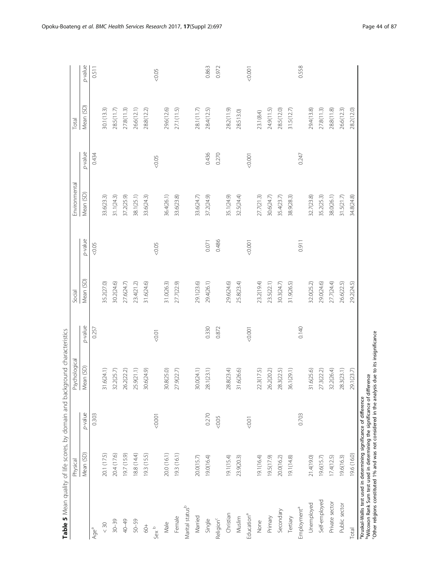<span id="page-5-0"></span>

| p-value<br>0.436<br>0.270<br>0.247<br>0.434<br>0.001<br>&0.05<br>Mean (SD)<br>38.1(25.1)<br>33.6(23.3)<br>37.2(25.9)<br>33.6(24.3)<br>36.4(26.1)<br>33.6(23.8)<br>37.2(24.9)<br>35.1(24.9)<br>32.5(24.4)<br>32.7(23.8)<br>35.2(25.3)<br>38.0(26.1)<br>31.1(24.3)<br>33.6(24.7)<br>27.7(21.3)<br>30.6(24.7)<br>35.4(23.7)<br>38.9(28.3)<br>31.5(21.7)<br>p-value<br>0.486<br>0.911<br>0.071<br>0.001<br>&0.05<br>0.05<br>Mean (SD)<br>29.6(24.6)<br>27.7(24.4)<br>35.2(27.0)<br>30.2(24.6)<br>23.4(21.2)<br>31.6(24.6)<br>31.0(26.3)<br>27.7(22.9)<br>29.1(23.6)<br>29.4(26.1)<br>23.2(19.4)<br>31.9(26.5)<br>29.0(24.6)<br>26.6(22.5)<br>27.6(24.7)<br>25.8(23.4)<br>23.5(22.1)<br>30.3(24.7)<br>32.0(25.2)<br>p-value<br>0.330<br>0.140<br>0.872<br>0.257<br>0.0001<br>10:0 > 0<br>Mean (SD)<br>31.6(24.1)<br>25.9(21.1)<br>28.8(23.4)<br>32.2(26.4)<br>28.3(23.1)<br>30.6(24.9)<br>30.8(25.0)<br>27.9(22.7)<br>30.0(24.1)<br>28.1(23.1)<br>31.6(26.6)<br>26.2(20.2)<br>28.3(22.5)<br>36.1(29.1)<br>31.6(25.6)<br>27.3(22.2)<br>32.2(25.7)<br>26.2(22.2)<br>22.3(17.5)<br>p-value<br>0.270<br>0.703<br>0.303<br>100.001<br>0.05<br>0.01<br>18.8 (14.4)<br>19.3 (16.1)<br>Mean (SD)<br>20.0 (16.1)<br>20.1 (17.5)<br>20.4 (17.6)<br>19.3 (15.5)<br>19.7 (15.9)<br>19.1(15.4)<br>19.0(16.4)<br>19.1(16.4)<br>20.0(16.2)<br>21.4(19.0)<br>19.6(15.7)<br>17.4(12.5)<br>19.6(16.3)<br>20.0(15.7)<br>23.9(20.3)<br>19.5(17.9)<br>19.1(14.8)<br>Self-employed<br>Private sector<br>Unemployed<br>Public sector<br>Marital status <sup>b</sup><br>Employment <sup>a</sup><br>Secondary<br>Christian<br>Education <sup>a</sup><br>Married<br>Primary<br>Tertiary<br>Female<br>Muslim<br>Religion <sup>c</sup><br>Single<br>$50 - 59$<br>None<br>$30 - 39$<br>40-49<br>Male<br>$< 30$<br>$\frac{4}{3}$<br>Sex <sup>b</sup><br>Age <sup>a</sup> | Physical | Psychological | Social | Environmental | Total      |         |
|---------------------------------------------------------------------------------------------------------------------------------------------------------------------------------------------------------------------------------------------------------------------------------------------------------------------------------------------------------------------------------------------------------------------------------------------------------------------------------------------------------------------------------------------------------------------------------------------------------------------------------------------------------------------------------------------------------------------------------------------------------------------------------------------------------------------------------------------------------------------------------------------------------------------------------------------------------------------------------------------------------------------------------------------------------------------------------------------------------------------------------------------------------------------------------------------------------------------------------------------------------------------------------------------------------------------------------------------------------------------------------------------------------------------------------------------------------------------------------------------------------------------------------------------------------------------------------------------------------------------------------------------------------------------------------------------------------------------------------------------------------------------------------------------------------------------------------------|----------|---------------|--------|---------------|------------|---------|
|                                                                                                                                                                                                                                                                                                                                                                                                                                                                                                                                                                                                                                                                                                                                                                                                                                                                                                                                                                                                                                                                                                                                                                                                                                                                                                                                                                                                                                                                                                                                                                                                                                                                                                                                                                                                                                       |          |               |        |               | Mean (SD)  | p-value |
|                                                                                                                                                                                                                                                                                                                                                                                                                                                                                                                                                                                                                                                                                                                                                                                                                                                                                                                                                                                                                                                                                                                                                                                                                                                                                                                                                                                                                                                                                                                                                                                                                                                                                                                                                                                                                                       |          |               |        |               |            | 0.511   |
|                                                                                                                                                                                                                                                                                                                                                                                                                                                                                                                                                                                                                                                                                                                                                                                                                                                                                                                                                                                                                                                                                                                                                                                                                                                                                                                                                                                                                                                                                                                                                                                                                                                                                                                                                                                                                                       |          |               |        |               | 30.1(13.3) |         |
|                                                                                                                                                                                                                                                                                                                                                                                                                                                                                                                                                                                                                                                                                                                                                                                                                                                                                                                                                                                                                                                                                                                                                                                                                                                                                                                                                                                                                                                                                                                                                                                                                                                                                                                                                                                                                                       |          |               |        |               | 28.5(11.7) |         |
|                                                                                                                                                                                                                                                                                                                                                                                                                                                                                                                                                                                                                                                                                                                                                                                                                                                                                                                                                                                                                                                                                                                                                                                                                                                                                                                                                                                                                                                                                                                                                                                                                                                                                                                                                                                                                                       |          |               |        |               | 27.8(11.3) |         |
|                                                                                                                                                                                                                                                                                                                                                                                                                                                                                                                                                                                                                                                                                                                                                                                                                                                                                                                                                                                                                                                                                                                                                                                                                                                                                                                                                                                                                                                                                                                                                                                                                                                                                                                                                                                                                                       |          |               |        |               | 26.6(12.1) |         |
|                                                                                                                                                                                                                                                                                                                                                                                                                                                                                                                                                                                                                                                                                                                                                                                                                                                                                                                                                                                                                                                                                                                                                                                                                                                                                                                                                                                                                                                                                                                                                                                                                                                                                                                                                                                                                                       |          |               |        |               | 28.8(12.2) |         |
|                                                                                                                                                                                                                                                                                                                                                                                                                                                                                                                                                                                                                                                                                                                                                                                                                                                                                                                                                                                                                                                                                                                                                                                                                                                                                                                                                                                                                                                                                                                                                                                                                                                                                                                                                                                                                                       |          |               |        |               |            | 0.05    |
|                                                                                                                                                                                                                                                                                                                                                                                                                                                                                                                                                                                                                                                                                                                                                                                                                                                                                                                                                                                                                                                                                                                                                                                                                                                                                                                                                                                                                                                                                                                                                                                                                                                                                                                                                                                                                                       |          |               |        |               | 29.6(12.6) |         |
|                                                                                                                                                                                                                                                                                                                                                                                                                                                                                                                                                                                                                                                                                                                                                                                                                                                                                                                                                                                                                                                                                                                                                                                                                                                                                                                                                                                                                                                                                                                                                                                                                                                                                                                                                                                                                                       |          |               |        |               | 27.1(11.5) |         |
|                                                                                                                                                                                                                                                                                                                                                                                                                                                                                                                                                                                                                                                                                                                                                                                                                                                                                                                                                                                                                                                                                                                                                                                                                                                                                                                                                                                                                                                                                                                                                                                                                                                                                                                                                                                                                                       |          |               |        |               |            |         |
|                                                                                                                                                                                                                                                                                                                                                                                                                                                                                                                                                                                                                                                                                                                                                                                                                                                                                                                                                                                                                                                                                                                                                                                                                                                                                                                                                                                                                                                                                                                                                                                                                                                                                                                                                                                                                                       |          |               |        |               | 28.1(11.7) |         |
|                                                                                                                                                                                                                                                                                                                                                                                                                                                                                                                                                                                                                                                                                                                                                                                                                                                                                                                                                                                                                                                                                                                                                                                                                                                                                                                                                                                                                                                                                                                                                                                                                                                                                                                                                                                                                                       |          |               |        |               | 28.4(12.5) | 0.863   |
|                                                                                                                                                                                                                                                                                                                                                                                                                                                                                                                                                                                                                                                                                                                                                                                                                                                                                                                                                                                                                                                                                                                                                                                                                                                                                                                                                                                                                                                                                                                                                                                                                                                                                                                                                                                                                                       |          |               |        |               |            | 0.972   |
|                                                                                                                                                                                                                                                                                                                                                                                                                                                                                                                                                                                                                                                                                                                                                                                                                                                                                                                                                                                                                                                                                                                                                                                                                                                                                                                                                                                                                                                                                                                                                                                                                                                                                                                                                                                                                                       |          |               |        |               | 28.2(11.9) |         |
|                                                                                                                                                                                                                                                                                                                                                                                                                                                                                                                                                                                                                                                                                                                                                                                                                                                                                                                                                                                                                                                                                                                                                                                                                                                                                                                                                                                                                                                                                                                                                                                                                                                                                                                                                                                                                                       |          |               |        |               | 28.513.0)  |         |
|                                                                                                                                                                                                                                                                                                                                                                                                                                                                                                                                                                                                                                                                                                                                                                                                                                                                                                                                                                                                                                                                                                                                                                                                                                                                                                                                                                                                                                                                                                                                                                                                                                                                                                                                                                                                                                       |          |               |        |               |            | 0.001   |
|                                                                                                                                                                                                                                                                                                                                                                                                                                                                                                                                                                                                                                                                                                                                                                                                                                                                                                                                                                                                                                                                                                                                                                                                                                                                                                                                                                                                                                                                                                                                                                                                                                                                                                                                                                                                                                       |          |               |        |               | 23.1(8.4)  |         |
|                                                                                                                                                                                                                                                                                                                                                                                                                                                                                                                                                                                                                                                                                                                                                                                                                                                                                                                                                                                                                                                                                                                                                                                                                                                                                                                                                                                                                                                                                                                                                                                                                                                                                                                                                                                                                                       |          |               |        |               | 24.9(11.5) |         |
|                                                                                                                                                                                                                                                                                                                                                                                                                                                                                                                                                                                                                                                                                                                                                                                                                                                                                                                                                                                                                                                                                                                                                                                                                                                                                                                                                                                                                                                                                                                                                                                                                                                                                                                                                                                                                                       |          |               |        |               | 28.5(12.0) |         |
|                                                                                                                                                                                                                                                                                                                                                                                                                                                                                                                                                                                                                                                                                                                                                                                                                                                                                                                                                                                                                                                                                                                                                                                                                                                                                                                                                                                                                                                                                                                                                                                                                                                                                                                                                                                                                                       |          |               |        |               | 31.5(12.7) |         |
|                                                                                                                                                                                                                                                                                                                                                                                                                                                                                                                                                                                                                                                                                                                                                                                                                                                                                                                                                                                                                                                                                                                                                                                                                                                                                                                                                                                                                                                                                                                                                                                                                                                                                                                                                                                                                                       |          |               |        |               |            | 0.558   |
|                                                                                                                                                                                                                                                                                                                                                                                                                                                                                                                                                                                                                                                                                                                                                                                                                                                                                                                                                                                                                                                                                                                                                                                                                                                                                                                                                                                                                                                                                                                                                                                                                                                                                                                                                                                                                                       |          |               |        |               | 29.4(13.8) |         |
|                                                                                                                                                                                                                                                                                                                                                                                                                                                                                                                                                                                                                                                                                                                                                                                                                                                                                                                                                                                                                                                                                                                                                                                                                                                                                                                                                                                                                                                                                                                                                                                                                                                                                                                                                                                                                                       |          |               |        |               | 27.8(11.3) |         |
|                                                                                                                                                                                                                                                                                                                                                                                                                                                                                                                                                                                                                                                                                                                                                                                                                                                                                                                                                                                                                                                                                                                                                                                                                                                                                                                                                                                                                                                                                                                                                                                                                                                                                                                                                                                                                                       |          |               |        |               | 28.8(11.8) |         |
|                                                                                                                                                                                                                                                                                                                                                                                                                                                                                                                                                                                                                                                                                                                                                                                                                                                                                                                                                                                                                                                                                                                                                                                                                                                                                                                                                                                                                                                                                                                                                                                                                                                                                                                                                                                                                                       |          |               |        |               | 26.6(12.3) |         |
| 34.8(24.8)<br>29.2(24.5)<br>29.1(23.7)<br>19.6 (16.0)<br>Total                                                                                                                                                                                                                                                                                                                                                                                                                                                                                                                                                                                                                                                                                                                                                                                                                                                                                                                                                                                                                                                                                                                                                                                                                                                                                                                                                                                                                                                                                                                                                                                                                                                                                                                                                                        |          |               |        |               | 28.2(12.0) |         |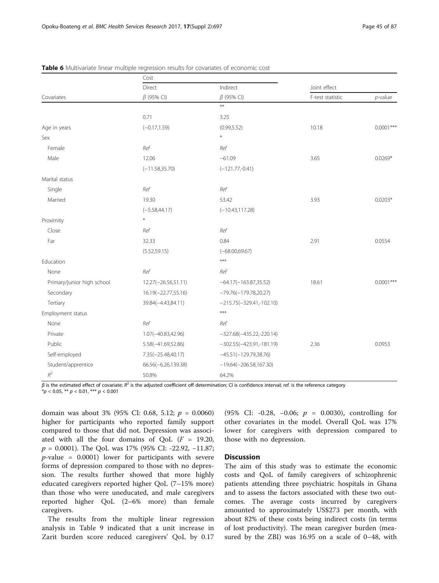|                            | Cost                  |                            |                  |             |
|----------------------------|-----------------------|----------------------------|------------------|-------------|
|                            | Direct                | Indirect                   | Joint effect     |             |
| Covariates                 | $\beta$ (95% CI)      | $\beta$ (95% CI)           | F-test statistic | $p$ -value  |
|                            |                       | $**$                       |                  |             |
|                            | 0.71                  | 3.25                       |                  |             |
| Age in years               | $(-0.17, 1.59)$       | (0.99, 5.52)               | 10.18            | $0.0001***$ |
| Sex                        |                       | $\ast$                     |                  |             |
| Female                     | Ref                   | Ref                        |                  |             |
| Male                       | 12.06                 | $-61.09$                   | 3.65             | $0.0269*$   |
|                            | $(-11.58, 35.70)$     | $(-121.77,-0.41)$          |                  |             |
| Marital status             |                       |                            |                  |             |
| Single                     | Ref                   | Ref                        |                  |             |
| Married                    | 19.30                 | 53.42                      | 3.93             | $0.0203*$   |
|                            | $(-5.58,44.17)$       | $(-10.43, 117.28)$         |                  |             |
| Proximity                  | $\ast$                |                            |                  |             |
| Close                      | Ref                   | Ref                        |                  |             |
| Far                        | 32.33                 | 0.84                       | 2.91             | 0.0554      |
|                            | (5.52, 59.15)         | $(-68.00,69.67)$           |                  |             |
| Education                  |                       | $***$                      |                  |             |
| None                       | Ref                   | Ref                        |                  |             |
| Primary/junior high school | 12.27(-26.56,51.11)   | $-64.17(-163.87,35.52)$    | 18.61            | $0.0001***$ |
| Secondary                  | 16.19(-22.77,55.16)   | $-79.76(-179.78,20.27)$    |                  |             |
| Tertiary                   | 39.84(-4.43,84.11)    | $-215.75(-329.41,-102.10)$ |                  |             |
| Employment status          |                       | ***                        |                  |             |
| None                       | Ref                   | Ref                        |                  |             |
| Private                    | 1.07(-40.83,42.96)    | $-327.68(-435.22,-220.14)$ |                  |             |
| Public                     | $5.58(-41.69, 52.86)$ | $-302.55(-423.91,-181.19)$ | 2.36             | 0.0953      |
| Self-employed              | 7.35(-25.48,40.17)    | $-45.51(-129.79,38.76)$    |                  |             |
| Student/apprentice         | 66.56(-6.26,139.38)   | $-19.64(-206.58, 167.30)$  |                  |             |
| $R^2\,$                    | 50.8%                 | 64.2%                      |                  |             |

<span id="page-6-0"></span>Table 6 Multivariate linear multiple regression results for covariates of economic cost

 $β$  is the estimated effect of covariate;  $R^2$  is the adjusted coefficient off determination; CI is confidence interval; ref. is the reference category

 $**p* < 0.05$ ,  $** *p* < 0.01$ ,  $*** *p* < 0.001$ 

domain was about 3% (95% CI: 0.68, 5.12;  $p = 0.0060$ ) higher for participants who reported family support compared to those that did not. Depression was associated with all the four domains of OoL  $(F = 19.20,$ p = 0.0001). The QoL was 17% (95% CI: -22.92, −11.87;  $p$ -value = 0.0001) lower for participants with severe forms of depression compared to those with no depression. The results further showed that more highly educated caregivers reported higher QoL (7–15% more) than those who were uneducated, and male caregivers reported higher QoL (2–6% more) than female caregivers.

The results from the multiple linear regression analysis in Table [9](#page-10-0) indicated that a unit increase in Zarit burden score reduced caregivers' QoL by 0.17 (95% CI: -0.28, -0.06;  $p = 0.0030$ ), controlling for other covariates in the model. Overall QoL was 17% lower for caregivers with depression compared to those with no depression.

### **Discussion**

The aim of this study was to estimate the economic costs and QoL of family caregivers of schizophrenic patients attending three psychiatric hospitals in Ghana and to assess the factors associated with these two outcomes. The average costs incurred by caregivers amounted to approximately US\$273 per month, with about 82% of these costs being indirect costs (in terms of lost productivity). The mean caregiver burden (measured by the ZBI) was 16.95 on a scale of 0–48, with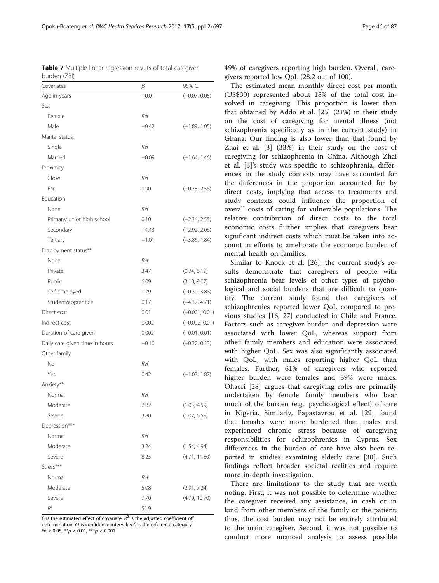<span id="page-7-0"></span>Table 7 Multiple linear regression results of total caregiver burden (ZBI)

| Covariates                     | β       | 95% CI           |
|--------------------------------|---------|------------------|
| Age in years                   | $-0.01$ | $(-0.07, 0.05)$  |
| Sex                            |         |                  |
| Female                         | Ref     |                  |
| Male                           | $-0.42$ | $(-1.89, 1.05)$  |
| Marital status:                |         |                  |
| Single                         | Ref     |                  |
| Married                        | $-0.09$ | $(-1.64, 1.46)$  |
| Proximity                      |         |                  |
| Close                          | Ref     |                  |
| Far                            | 0.90    | $(-0.78, 2.58)$  |
| Education                      |         |                  |
| None                           | Ref     |                  |
| Primary/junior high school     | 0.10    | $(-2.34, 2.55)$  |
| Secondary                      | $-4.43$ | $(-2.92, 2.06)$  |
| Tertiary                       | $-1.01$ | $(-3.86, 1.84)$  |
| Employment status**            |         |                  |
| None                           | Ref     |                  |
| Private                        | 3.47    | (0.74, 6.19)     |
| Public                         | 6.09    | (3.10, 9.07)     |
| Self-employed                  | 1.79    | $(-0.30, 3.88)$  |
| Student/apprentice             | 0.17    | $(-4.37, 4.71)$  |
| Direct cost                    | 0.01    | $(-0.001, 0.01)$ |
| Indirect cost                  | 0.002   | $(-0.002, 0.01)$ |
| Duration of care given         | 0.002   | $(-0.01, 0.01)$  |
| Daily care given time in hours | $-0.10$ | $(-0.32, 0.13)$  |
| Other family                   |         |                  |
| No                             | Ref     |                  |
| Yes                            | 0.42    | $(-1.03, 1.87)$  |
| Anxiety**                      |         |                  |
| Normal                         | Ref     |                  |
| Moderate                       | 2.82    | (1.05, 4.59)     |
| Severe                         | 3.80    | (1.02, 6.59)     |
| Depression***                  |         |                  |
| Normal                         | Ref     |                  |
| Moderate                       | 3.24    | (1.54, 4.94)     |
| Severe                         | 8.25    | (4.71, 11.80)    |
| Stress***                      |         |                  |
| Normal                         | Ref     |                  |
| Moderate                       | 5.08    | (2.91, 7.24)     |
| Severe                         | 7.70    | (4.70, 10.70)    |
| $R^2$                          | 51.9    |                  |

 $β$  is the estimated effect of covariate;  $R^2$  is the adjusted coefficient off determination; CI is confidence interval; ref. is the reference category  $*p < 0.05$ ,  $**p < 0.01$ ,  $***p < 0.001$ 

49% of caregivers reporting high burden. Overall, caregivers reported low QoL (28.2 out of 100).

The estimated mean monthly direct cost per month (US\$30) represented about 18% of the total cost involved in caregiving. This proportion is lower than that obtained by Addo et al. [[25](#page-11-0)] (21%) in their study on the cost of caregiving for mental illness (not schizophrenia specifically as in the current study) in Ghana. Our finding is also lower than that found by Zhai et al. [\[3](#page-11-0)] (33%) in their study on the cost of caregiving for schizophrenia in China. Although Zhai et al. [\[3](#page-11-0)]'s study was specific to schizophrenia, differences in the study contexts may have accounted for the differences in the proportion accounted for by direct costs, implying that access to treatments and study contexts could influence the proportion of overall costs of caring for vulnerable populations. The relative contribution of direct costs to the total economic costs further implies that caregivers bear significant indirect costs which must be taken into account in efforts to ameliorate the economic burden of mental health on families.

Similar to Knock et al. [[26](#page-11-0)], the current study's results demonstrate that caregivers of people with schizophrenia bear levels of other types of psychological and social burdens that are difficult to quantify. The current study found that caregivers of schizophrenics reported lower QoL compared to previous studies [\[16](#page-11-0), [27](#page-11-0)] conducted in Chile and France. Factors such as caregiver burden and depression were associated with lower QoL, whereas support from other family members and education were associated with higher QoL. Sex was also significantly associated with QoL, with males reporting higher QoL than females. Further, 61% of caregivers who reported higher burden were females and 39% were males. Ohaeri [\[28](#page-11-0)] argues that caregiving roles are primarily undertaken by female family members who bear much of the burden (e.g., psychological effect) of care in Nigeria. Similarly, Papastavrou et al. [\[29\]](#page-11-0) found that females were more burdened than males and experienced chronic stress because of caregiving responsibilities for schizophrenics in Cyprus. Sex differences in the burden of care have also been reported in studies examining elderly care [[30\]](#page-11-0). Such findings reflect broader societal realities and require more in-depth investigation.

There are limitations to the study that are worth noting. First, it was not possible to determine whether the caregiver received any assistance, in cash or in kind from other members of the family or the patient; thus, the cost burden may not be entirely attributed to the main caregiver. Second, it was not possible to conduct more nuanced analysis to assess possible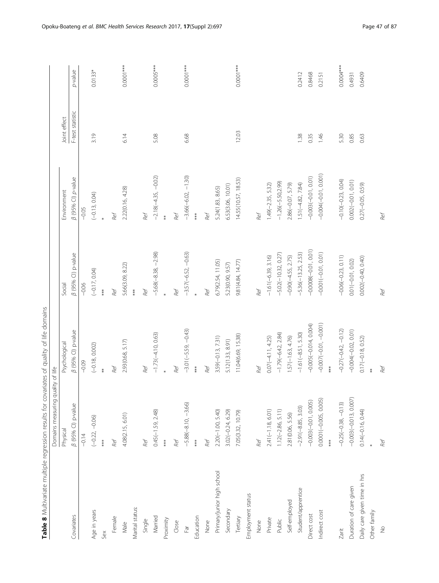<span id="page-8-0"></span>

| Table 8 Multivariate multiple regression results for covariates of quality of life domains |                                   |                         |                        |                           |                  |             |
|--------------------------------------------------------------------------------------------|-----------------------------------|-------------------------|------------------------|---------------------------|------------------|-------------|
|                                                                                            | Domains measuring quality of life |                         |                        |                           |                  |             |
|                                                                                            | Physical                          | Psychological           | Social                 | Environment               | Joint effect     |             |
| Covariates                                                                                 | $\beta$ (95% CI) p-value          | B (95% CI) p-value      | β (95% CI) p-value     | <b>B</b> (95% CI) p-value | F-test statistic | p-value     |
|                                                                                            | $-0.14$                           | $-0.09$                 | $-0.06$                | $-0.05$                   |                  |             |
| Age in years                                                                               | $(-0.22, -0.06)$                  | $(-0.18, 0.002)$        | $(-0.17, 0.04)$        | $(-0.13, 0.04)$           | 3.19             | $0.0133*$   |
| Sex                                                                                        | $**$                              | $*$                     | $***$                  |                           |                  |             |
| Female                                                                                     | Ref                               | Ref                     | Ref                    | Ref                       |                  |             |
| Male                                                                                       | 4.08(2.15, 6.01)                  | 2.93(0.68, 5.17)        | 5.66(3.09, 8.22)       | 2.22(0.16, 4.28)          | 6.14             | $0.0001***$ |
| Marital status:                                                                            |                                   |                         | $**$                   |                           |                  |             |
| Single                                                                                     | Ref                               | Ref                     | Ref                    | Ref                       |                  |             |
| Married                                                                                    | $0.45(-1.59, 2.48)$               | $-1.73(-4.10, 0.63)$    | $-5.68(-8.38, -2.98)$  | $-2.18(-4.35, -0.02)$     | 5.08             | $0.0005***$ |
| Proximity                                                                                  | ***                               | $\ast$                  |                        | $*$                       |                  |             |
| Close                                                                                      | Ref                               | Ref                     | Ref                    | Ref                       |                  |             |
| $\mathbb{F}$ ar                                                                            | $-5.88(-8.10, -3.66)$             | $-3.01(-5.59, -0.43)$   | $-3.57(-6.52, -0.63)$  | $-3.66(-6.02, -1.30)$     | 6.68             | $0.0001***$ |
| Education                                                                                  | $***$                             | $***$                   | $\ast$                 | $\ast\ast$                |                  |             |
| None                                                                                       | Ref                               | Ref                     | Ref                    | Ref                       |                  |             |
| Primary/junior high school                                                                 | $2.20(-1.00, 5.40)$               | $3.59(-0.13, 7.31)$     | 6.79(2.54, 11.05)      | 5.24(1.83, 8.65)          |                  |             |
| Secondary                                                                                  | $3.02(-0.24, 6.29)$               | 5.12(1.33, 8.91)        | 5.23(0.90, 9.57)       | 6.53(3.06, 10.01)         |                  |             |
| Tertiary                                                                                   | 7.05(3.32, 10.79)                 | 11.04(6.69, 15.38)      | 9.81 (4.84, 14.77)     | 14.55(10.57, 18.53)       | 12.03            | $0.0001***$ |
| Employment status                                                                          |                                   |                         |                        |                           |                  |             |
| None                                                                                       | Ref                               | Ref                     | Ref                    | Ref                       |                  |             |
| Private                                                                                    | $2.41(-1.18, 6.01)$               | $0.07(-4.11, 4.25)$     | $-1.61(-6.39, 3.16)$   | $1,49(-2.35, 5.32)$       |                  |             |
| Public                                                                                     | $1.12(-2.86, 5.11)$               | $-1.79(-6.42, 2.84)$    | $-5.02(-10.32, 0.27)$  | $-1.26(-5.50,2.99)$       |                  |             |
| Self-employed                                                                              | 2.81(0.06, 5.56)                  | $1.57(-1.63, 4.76)$     | $-0.90(-4.55, 2.75)$   | 2.86(-0.07, 5.79)         |                  |             |
| Student/apprentice                                                                         | $-2.91(-8.85, 3.03)$              | $-1.61(-8.51, 5.30)$    | $-5.36(-13.25, 2.53)$  | $1.51(-4.82, 7.84)$       | 1.38             | 0.2412      |
| Direct cost                                                                                | $-0.003(-0.01, 0.005)$            | $-0.005(-0.014, 0.004)$ | $-0.0008(-0.01, 0.01)$ | $-0.003(-0.01, 0.01)$     | 0.35             | 0.8468      |
| Indirect cost                                                                              | 0.0001(-0.005, 0.005)             | $-0.007(-0.01, -0.001)$ | $-0.001(-0.01, 0.01)$  | $-0.004(-0.01, 0.001)$    | 1.46             | 0.2151      |
|                                                                                            | ***                               | $***$                   |                        |                           |                  |             |
| Zarit                                                                                      | $-0.25(-0.38, -0.13)$             | $-0.27(-0.42, -0.12)$   | $-0.06(-0.23, 0.11)$   | $-0.10(-0.23, 0.04)$      | 5.30             | $0.0004***$ |
| Duration of care given                                                                     | $-0.003(-0.013, 0.007)$           | $-0.004(-0.02, 0.01)$   | $0.01(-0.01, 0.02)$    | $0.002(-0.01, 0.01)$      | 0.85             | 0.4931      |
| Daily care given time in hrs                                                               | $0.14(-0.16, 0.44)$               | $0.17(-0.18, 0.52)$     | $0.002(-0.40, 0.40)$   | 0.27(-0.05, 0.59)         | 0.63             | 0.6409      |
| Other family                                                                               |                                   | $\ddot{*}$              |                        |                           |                  |             |
| $\stackrel{\circ}{\geq}$                                                                   | Ref                               | Ref                     | Ref                    | Ref                       |                  |             |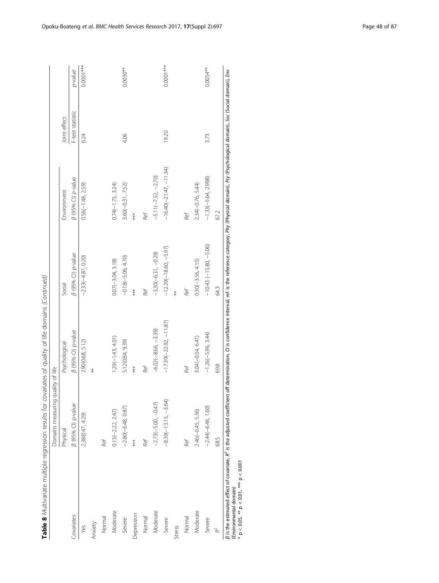| $\vdots$                         |
|----------------------------------|
| ١                                |
|                                  |
|                                  |
|                                  |
|                                  |
|                                  |
|                                  |
|                                  |
|                                  |
|                                  |
|                                  |
|                                  |
|                                  |
| ļ                                |
|                                  |
|                                  |
| $\sim$ $+$ $\sim$<br>5           |
|                                  |
|                                  |
| )<br>5<br>5<br>I                 |
| i                                |
| j                                |
| i                                |
| $\sim$ $\sim$                    |
|                                  |
| $-1.5$<br>$\overline{a}$         |
|                                  |
| j                                |
| .<br>.                           |
|                                  |
|                                  |
|                                  |
|                                  |
|                                  |
| $\ddot{\phantom{a}}$             |
| $\mathbf{r}$                     |
| í                                |
|                                  |
|                                  |
|                                  |
| $\ddot{\phantom{a}}$             |
|                                  |
| $\ddot{\phantom{a}}$             |
|                                  |
|                                  |
|                                  |
|                                  |
|                                  |
|                                  |
|                                  |
|                                  |
|                                  |
| $\overline{a}$<br>$\overline{a}$ |
|                                  |
|                                  |
| ī                                |

|               | Domains measuring quality of life |                                                                                                                                                                                                                                          |                           |                           |                  |             |
|---------------|-----------------------------------|------------------------------------------------------------------------------------------------------------------------------------------------------------------------------------------------------------------------------------------|---------------------------|---------------------------|------------------|-------------|
|               | Physical                          | Psychological                                                                                                                                                                                                                            | Social                    | Environment               | Joint effect     |             |
| Covariates    | B (95% CI) p-value                | B (95% CI) p-value                                                                                                                                                                                                                       | <b>B</b> (95% CI) p-value | <b>B</b> (95% CI) p-value | F-test statistic | p-value     |
| Yes           | 2.38(0.47, 4.29)                  | 2.90(0.68, 5.12)                                                                                                                                                                                                                         | $-2.33(-4.87, 0.20)$      | $0.56(-1.48, 2.59)$       | 6.24             | $0.0001***$ |
| Anxiety       |                                   | $\ast$                                                                                                                                                                                                                                   |                           |                           |                  |             |
| Normal        | Ref                               |                                                                                                                                                                                                                                          |                           |                           |                  |             |
| Moderate      | $0.13(-2.22, 2.47)$               | $1.29(-1.43, 4.01)$                                                                                                                                                                                                                      | $0.07(-3.04, 3.18)$       | $0.74(-1.75, 3.24)$       |                  |             |
| Severe        | $-2.80(-6.48, 0.87)$              | 5.12(0.84, 9.39)                                                                                                                                                                                                                         | $-0.18(-5.06, 4.70)$      | $3.60(-0.31, 7.52)$       | 4.06             | 0.0030**    |
| Depression    | ***                               | ***                                                                                                                                                                                                                                      | ***                       | ***                       |                  |             |
| Normal        | Ref                               | Ref                                                                                                                                                                                                                                      | Ref                       | Ref                       |                  |             |
| Moderate      | $-2.73(-5.00, -0.47)$             | $-6.02(-8.66, -3.39)$                                                                                                                                                                                                                    | $-3.30(-6.31, -0.29)$     | $-5.11(-7.52, -2.70)$     |                  |             |
| Severe        | $-8.39(-13.15, -3.64)$            | $-17.39(-22.92, -11.87)$                                                                                                                                                                                                                 | $-12.29(-18.60, -5.97)$   | $-16.40(-21.47, -11.34)$  | 19.20            | $0.0001***$ |
| <b>Stress</b> |                                   |                                                                                                                                                                                                                                          | $\ddot{*}$                |                           |                  |             |
| Normal        | Ref                               | Ref                                                                                                                                                                                                                                      | Ref                       | Ref                       |                  |             |
| Moderate      | $2.46(-0.45, 5.36)$               | $3.04(-0.34, 6.41)$                                                                                                                                                                                                                      | $0.30(-3.56, 4.15)$       | $2.34(-0.76, 5.44)$       |                  |             |
| Severe        | $-2.44(-6.48, 1.60)$              | $-1.26(-5.96, 3.44)$                                                                                                                                                                                                                     | $-10.43(-15.80, -5.06)$   | $-1.33(-5.64, 2.988)$     | 3.73             | 0.0054**    |
| Ł             | 68.5                              | 69.8                                                                                                                                                                                                                                     | 543                       | 67.2                      |                  |             |
|               |                                   | 8 is the estimated effect of covariate, R <sup>2</sup> is the adjusted coefficient off determination, C1 is confidence interval; ref. is the reference category, Phy (Physical domain), Psy (Psychological domain), Soccial domain), Env |                           |                           |                  |             |

 $\geq$  $\bar{\ast}$ ≯  $\frac{1}{2}$ י לוספי.<br>פ ដ្ឋ<br>ក β is une communeca enter of covariance,<br>(Environmental domain)<br>\* p < 0.05, \*\* p < 0.01, \*\*\* p < 0.001 \* p < 0.05, \*\* p < 0.01, \*\*\* p < 0.001 (Environmental domain)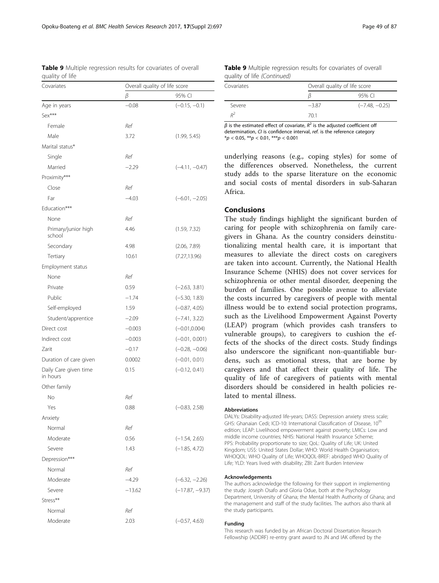<span id="page-10-0"></span>Table 9 Multiple regression results for covariates of overall quality of life

| Covariates                        | Overall quality of life score |                   |
|-----------------------------------|-------------------------------|-------------------|
|                                   | β                             | 95% CI            |
| Age in years                      | $-0.08$                       | $(-0.15, -0.1)$   |
| Sex***                            |                               |                   |
| Female                            | Ref                           |                   |
| Male                              | 3.72                          | (1.99, 5.45)      |
| Marital status*                   |                               |                   |
| Single                            | Ref                           |                   |
| Married                           | $-2.29$                       | $(-4.11, -0.47)$  |
| Proximity***                      |                               |                   |
| Close                             | Ref                           |                   |
| Far                               | $-4.03$                       | $(-6.01, -2.05)$  |
| Education***                      |                               |                   |
| None                              | Ref                           |                   |
| Primary/junior high<br>school     | 4.46                          | (1.59, 7.32)      |
| Secondary                         | 4.98                          | (2.06, 7.89)      |
| Tertiary                          | 10.61                         | (7.27, 13.96)     |
| Employment status                 |                               |                   |
| None                              | Ref                           |                   |
| Private                           | 0.59                          | $(-2.63, 3.81)$   |
| Public                            | $-1.74$                       | $(-5.30, 1.83)$   |
| Self-employed                     | 1.59                          | $(-0.87, 4.05)$   |
| Student/apprentice                | $-2.09$                       | $(-7.41, 3.22)$   |
| Direct cost                       | $-0.003$                      | $(-0.01, 0.004)$  |
| Indirect cost                     | $-0.003$                      | $(-0.01, 0.001)$  |
| Zarit                             | $-0.17$                       | $(-0.28, -0.06)$  |
| Duration of care given            | 0.0002                        | $(-0.01, 0.01)$   |
| Daily Care given time<br>in hours | 0.15                          | $(-0.12, 0.41)$   |
| Other family                      |                               |                   |
| Νo                                | Ref                           |                   |
| Yes                               | 0.88                          | $(-0.83, 2.58)$   |
| Anxiety                           |                               |                   |
| Normal                            | Ref                           |                   |
| Moderate                          | 0.56                          | $(-1.54, 2.65)$   |
| Severe                            | 1.43                          | $(-1.85, 4.72)$   |
| Depression***                     |                               |                   |
| Normal                            | Ref                           |                   |
| Moderate                          | $-4.29$                       | $(-6.32, -2.26)$  |
| Severe                            | $-13.62$                      | $(-17.87, -9.37)$ |
| Stress**                          |                               |                   |
| Normal                            | Ref                           |                   |
| Moderate                          | 2.03                          | $(-0.57, 4.63)$   |

| <b>Table 9</b> Multiple regression results for covariates of overall |  |  |  |
|----------------------------------------------------------------------|--|--|--|
| quality of life <i>(Continued)</i>                                   |  |  |  |

| Covariates |        | Overall quality of life score |  |  |  |
|------------|--------|-------------------------------|--|--|--|
|            |        | 95% CI                        |  |  |  |
| Severe     | $-387$ | $(-7.48, -0.25)$              |  |  |  |
| $D^2$      | 70.1   |                               |  |  |  |

 $β$  is the estimated effect of covariate,  $R^2$  is the adjusted coefficient off determination, CI is confidence interval, ref. is the reference category  $**p* < 0.05$ ,  $***p* < 0.01$ ,  $****p* < 0.001$ 

underlying reasons (e.g., coping styles) for some of the differences observed. Nonetheless, the current study adds to the sparse literature on the economic and social costs of mental disorders in sub-Saharan Africa.

# Conclusions

The study findings highlight the significant burden of caring for people with schizophrenia on family caregivers in Ghana. As the country considers deinstitutionalizing mental health care, it is important that measures to alleviate the direct costs on caregivers are taken into account. Currently, the National Health Insurance Scheme (NHIS) does not cover services for schizophrenia or other mental disorder, deepening the burden of families. One possible avenue to alleviate the costs incurred by caregivers of people with mental illness would be to extend social protection programs, such as the Livelihood Empowerment Against Poverty (LEAP) program (which provides cash transfers to vulnerable groups), to caregivers to cushion the effects of the shocks of the direct costs. Study findings also underscore the significant non-quantifiable burdens, such as emotional stress, that are borne by caregivers and that affect their quality of life. The quality of life of caregivers of patients with mental disorders should be considered in health policies related to mental illness.

#### Abbreviations

DALYs: Disability-adjusted life-years; DASS: Depression anxiety stress scale; GHS: Ghanaian Cedi; ICD-10: International Classification of Disease, 10<sup>th</sup> edition; LEAP: Livelihood empowerment against poverty; LMICs: Low and middle income countries; NHIS: National Health Insurance Scheme; PPS: Probability proportionate to size; QoL: Quality of Life; UK: United Kingdom; US\$: United States Dollar; WHO: World Health Organisation; WHOQOL: WHO Quality of Life; WHOQOL-BREF: abridged WHO Quality of Life; YLD: Years lived with disability; ZBI: Zarit Burden Interview

#### Acknowledgements

The authors acknowledge the following for their support in implementing the study: Joseph Osafo and Gloria Odue, both at the Psychology Department, University of Ghana; the Mental Health Authority of Ghana; and the management and staff of the study facilities. The authors also thank all the study participants.

#### Funding

This research was funded by an African Doctoral Dissertation Research Fellowship (ADDRF) re-entry grant award to JN and IAK offered by the